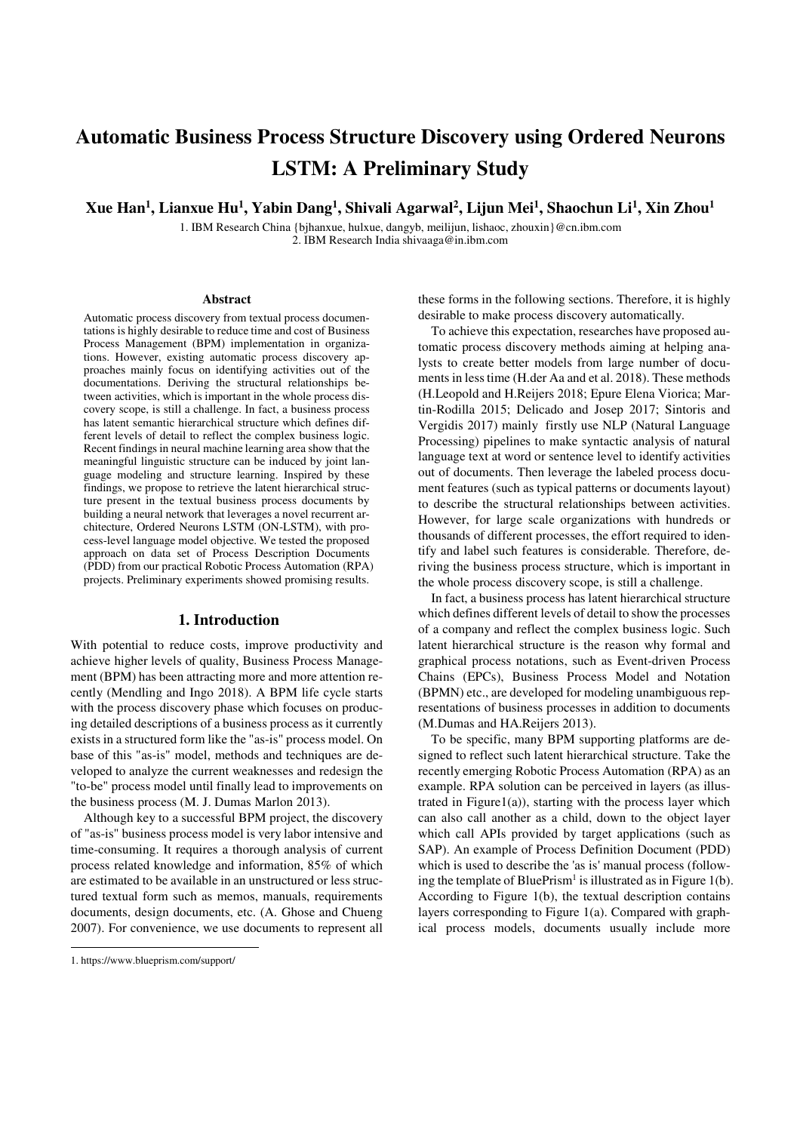# **Automatic Business Process Structure Discovery using Ordered Neurons LSTM: A Preliminary Study**

**Xue Han<sup>1</sup> , Lianxue Hu<sup>1</sup> , Yabin Dang<sup>1</sup> , Shivali Agarwal<sup>2</sup> , Lijun Mei<sup>1</sup> , Shaochun Li<sup>1</sup> , Xin Zhou<sup>1</sup>**

1. IBM Research China {bjhanxue, hulxue, dangyb, meilijun, lishaoc, zhouxin}@cn.ibm.com 2. IBM Research India shivaaga@in.ibm.com

#### **Abstract**

Automatic process discovery from textual process documentations is highly desirable to reduce time and cost of Business Process Management (BPM) implementation in organizations. However, existing automatic process discovery approaches mainly focus on identifying activities out of the documentations. Deriving the structural relationships between activities, which is important in the whole process discovery scope, is still a challenge. In fact, a business process has latent semantic hierarchical structure which defines different levels of detail to reflect the complex business logic. Recent findings in neural machine learning area show that the meaningful linguistic structure can be induced by joint language modeling and structure learning. Inspired by these findings, we propose to retrieve the latent hierarchical structure present in the textual business process documents by building a neural network that leverages a novel recurrent architecture, Ordered Neurons LSTM (ON-LSTM), with process-level language model objective. We tested the proposed approach on data set of Process Description Documents (PDD) from our practical Robotic Process Automation (RPA) projects. Preliminary experiments showed promising results.

## **1. Introduction**

With potential to reduce costs, improve productivity and achieve higher levels of quality, Business Process Management (BPM) has been attracting more and more attention recently (Mendling and Ingo 2018). A BPM life cycle starts with the process discovery phase which focuses on producing detailed descriptions of a business process as it currently exists in a structured form like the "as-is" process model. On base of this "as-is" model, methods and techniques are developed to analyze the current weaknesses and redesign the "to-be" process model until finally lead to improvements on the business process (M. J. Dumas Marlon 2013).

 Although key to a successful BPM project, the discovery of "as-is" business process model is very labor intensive and time-consuming. It requires a thorough analysis of current process related knowledge and information, 85% of which are estimated to be available in an unstructured or less structured textual form such as memos, manuals, requirements documents, design documents, etc. (A. Ghose and Chueng 2007). For convenience, we use documents to represent all

<sup>-</sup>

these forms in the following sections. Therefore, it is highly desirable to make process discovery automatically.

To achieve this expectation, researches have proposed automatic process discovery methods aiming at helping analysts to create better models from large number of documents in less time (H.der Aa and et al. 2018). These methods (H.Leopold and H.Reijers 2018; Epure Elena Viorica; Martin-Rodilla 2015; Delicado and Josep 2017; Sintoris and Vergidis 2017) mainly firstly use NLP (Natural Language Processing) pipelines to make syntactic analysis of natural language text at word or sentence level to identify activities out of documents. Then leverage the labeled process document features (such as typical patterns or documents layout) to describe the structural relationships between activities. However, for large scale organizations with hundreds or thousands of different processes, the effort required to identify and label such features is considerable. Therefore, deriving the business process structure, which is important in the whole process discovery scope, is still a challenge.

In fact, a business process has latent hierarchical structure which defines different levels of detail to show the processes of a company and reflect the complex business logic. Such latent hierarchical structure is the reason why formal and graphical process notations, such as Event-driven Process Chains (EPCs), Business Process Model and Notation (BPMN) etc., are developed for modeling unambiguous representations of business processes in addition to documents (M.Dumas and HA.Reijers 2013).

To be specific, many BPM supporting platforms are designed to reflect such latent hierarchical structure. Take the recently emerging Robotic Process Automation (RPA) as an example. RPA solution can be perceived in layers (as illustrated in Figure1(a)), starting with the process layer which can also call another as a child, down to the object layer which call APIs provided by target applications (such as SAP). An example of Process Definition Document (PDD) which is used to describe the 'as is' manual process (following the template of Blue $Prism<sup>1</sup>$  is illustrated as in Figure 1(b). According to Figure 1(b), the textual description contains layers corresponding to Figure 1(a). Compared with graphical process models, documents usually include more

<sup>1.</sup> https://www.blueprism.com/support/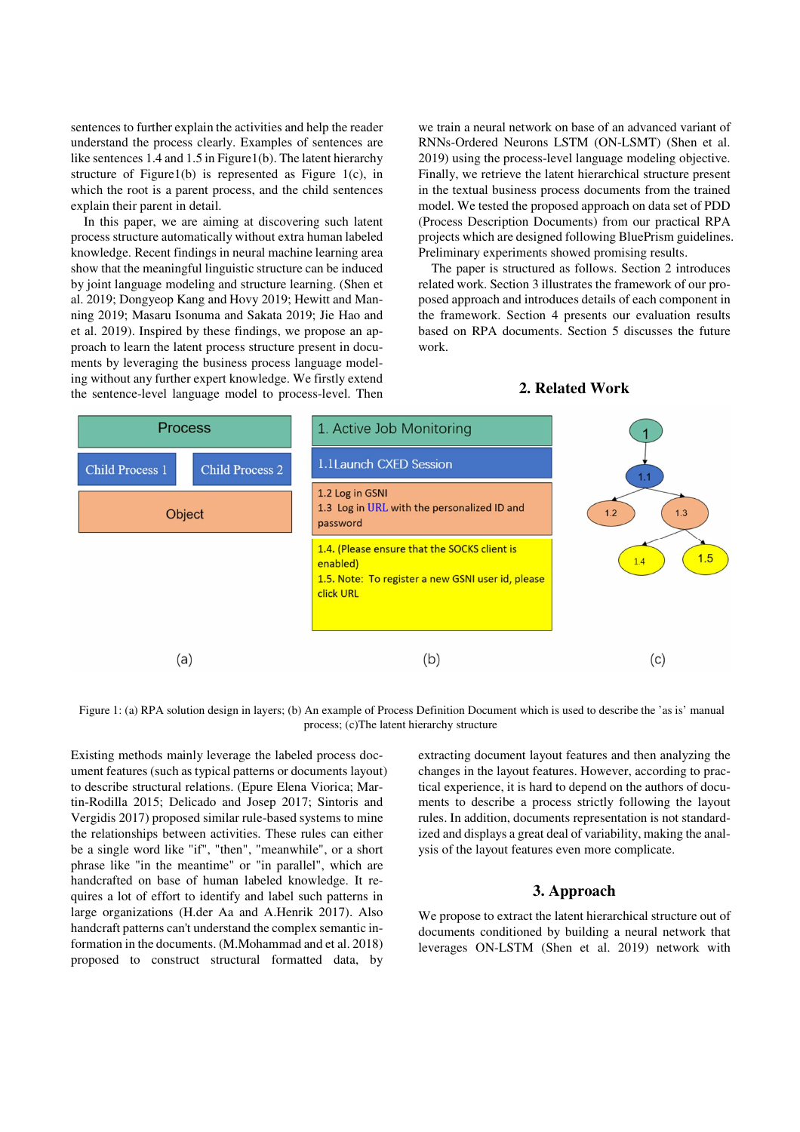sentences to further explain the activities and help the reader understand the process clearly. Examples of sentences are like sentences 1.4 and 1.5 in Figure1(b). The latent hierarchy structure of Figure1(b) is represented as Figure 1(c), in which the root is a parent process, and the child sentences explain their parent in detail.

 In this paper, we are aiming at discovering such latent process structure automatically without extra human labeled knowledge. Recent findings in neural machine learning area show that the meaningful linguistic structure can be induced by joint language modeling and structure learning. (Shen et al. 2019; Dongyeop Kang and Hovy 2019; Hewitt and Manning 2019; Masaru Isonuma and Sakata 2019; Jie Hao and et al. 2019). Inspired by these findings, we propose an approach to learn the latent process structure present in documents by leveraging the business process language modeling without any further expert knowledge. We firstly extend the sentence-level language model to process-level. Then

we train a neural network on base of an advanced variant of RNNs-Ordered Neurons LSTM (ON-LSMT) (Shen et al. 2019) using the process-level language modeling objective. Finally, we retrieve the latent hierarchical structure present in the textual business process documents from the trained model. We tested the proposed approach on data set of PDD (Process Description Documents) from our practical RPA projects which are designed following BluePrism guidelines. Preliminary experiments showed promising results.

The paper is structured as follows. Section 2 introduces related work. Section 3 illustrates the framework of our proposed approach and introduces details of each component in the framework. Section 4 presents our evaluation results based on RPA documents. Section 5 discusses the future work.

# **2. Related Work**



 Figure 1: (a) RPA solution design in layers; (b) An example of Process Definition Document which is used to describe the 'as is' manual process; (c)The latent hierarchy structure

Existing methods mainly leverage the labeled process document features (such as typical patterns or documents layout) to describe structural relations. (Epure Elena Viorica; Martin-Rodilla 2015; Delicado and Josep 2017; Sintoris and Vergidis 2017) proposed similar rule-based systems to mine the relationships between activities. These rules can either be a single word like "if", "then", "meanwhile", or a short phrase like "in the meantime" or "in parallel", which are handcrafted on base of human labeled knowledge. It requires a lot of effort to identify and label such patterns in large organizations (H.der Aa and A.Henrik 2017). Also handcraft patterns can't understand the complex semantic information in the documents. (M.Mohammad and et al. 2018) proposed to construct structural formatted data, by

extracting document layout features and then analyzing the changes in the layout features. However, according to practical experience, it is hard to depend on the authors of documents to describe a process strictly following the layout rules. In addition, documents representation is not standardized and displays a great deal of variability, making the analysis of the layout features even more complicate.

# **3. Approach**

We propose to extract the latent hierarchical structure out of documents conditioned by building a neural network that leverages ON-LSTM (Shen et al. 2019) network with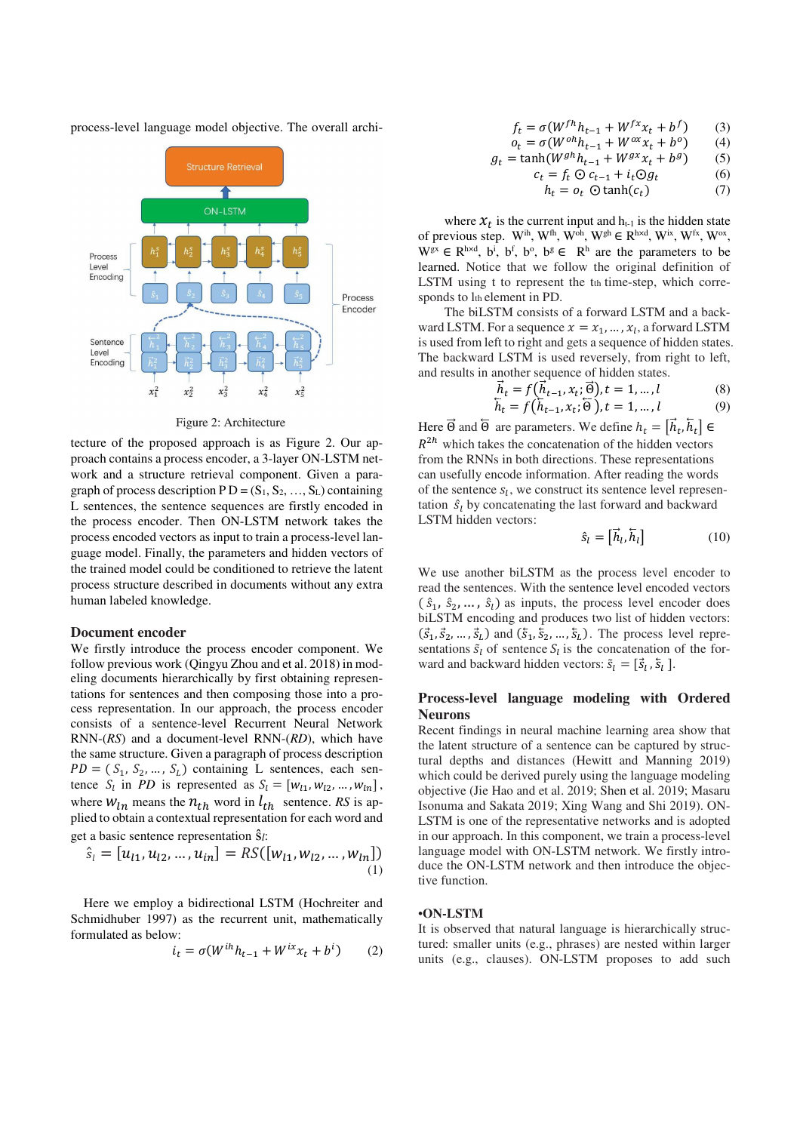process-level language model objective. The overall archi-



Figure 2: Architecture

tecture of the proposed approach is as Figure 2. Our approach contains a process encoder, a 3-layer ON-LSTM network and a structure retrieval component. Given a paragraph of process description  $PD = (S_1, S_2, ..., S_L)$  containing L sentences, the sentence sequences are firstly encoded in the process encoder. Then ON-LSTM network takes the process encoded vectors as input to train a process-level language model. Finally, the parameters and hidden vectors of the trained model could be conditioned to retrieve the latent process structure described in documents without any extra human labeled knowledge.

#### **Document encoder**

We firstly introduce the process encoder component. We follow previous work (Qingyu Zhou and et al. 2018) in modeling documents hierarchically by first obtaining representations for sentences and then composing those into a process representation. In our approach, the process encoder consists of a sentence-level Recurrent Neural Network RNN-(*RS*) and a document-level RNN-(*RD*), which have the same structure. Given a paragraph of process description  $PD = (S_1, S_2, \dots, S_L)$  containing L sentences, each sentence  $S_l$  in *PD* is represented as  $S_l = [w_{l1}, w_{l2}, ..., w_{ln}],$ where  $W_{1n}$  means the  $n_{th}$  word in  $l_{th}$  sentence. *RS* is applied to obtain a contextual representation for each word and get a basic sentence representation ŝ*l*:

$$
\hat{s}_l = [u_{l1}, u_{l2}, \dots, u_{in}] = RS([w_{l1}, w_{l2}, \dots, w_{ln}])
$$
<sup>(1)</sup>

Here we employ a bidirectional LSTM (Hochreiter and Schmidhuber 1997) as the recurrent unit, mathematically formulated as below:

$$
i_t = \sigma(W^{ih}h_{t-1} + W^{ix}x_t + b^i)
$$
 (2)

$$
f_t = \sigma(W^{fh}h_{t-1} + W^{fx}x_t + b^f) \tag{3}
$$

$$
o_t = \sigma(W^{oh}h_{t-1} + W^{ox}x_t + b^o) \tag{4}
$$

$$
g_t = \tanh(W^{gh}h_{t-1} + W^{gx}x_t + b^g) \tag{5}
$$

$$
c_t = f_t \odot c_{t-1} + i_t \odot g_t \tag{6}
$$

$$
h_t = o_t \odot \tanh(c_t) \tag{7}
$$

where  $x_t$  is the current input and  $h_{t-1}$  is the hidden state of previous step. W<sup>ih</sup>, W<sup>th</sup>, W<sup>oh</sup>, W<sup>gh</sup>  $\in$  R<sup>h×d</sup>, W<sup>ix</sup>, W<sup>fx</sup>, W<sup>ox</sup>,  $W^{gx} \in R^{h \times d}$ ,  $b^i$ ,  $b^f$ ,  $b^o$ ,  $b^g \in R^h$  are the parameters to be learned. Notice that we follow the original definition of LSTM using t to represent the tth time-step, which corresponds to lth element in PD.

The biLSTM consists of a forward LSTM and a backward LSTM. For a sequence  $x = x_1, ..., x_l$ , a forward LSTM is used from left to right and gets a sequence of hidden states. The backward LSTM is used reversely, from right to left, and results in another sequence of hidden states.

$$
\begin{aligned}\n\vec{h}_t &= f(\vec{h}_{t-1}, x_t; \vec{\Theta}), t = 1, \dots, l \\
\vec{h}_t &= f(\vec{h}_{t-1}, x_t; \vec{\Theta}), t = 1, \dots, l\n\end{aligned} \tag{8}
$$

Here  $\Theta$  and  $\Theta$  are parameters. We define  $h_t = [h_t, h_t] \in$  $R^{2h}$  which takes the concatenation of the hidden vectors from the RNNs in both directions. These representations can usefully encode information. After reading the words of the sentence  $s_l$ , we construct its sentence level representation  $\hat{S}_l$  by concatenating the last forward and backward LSTM hidden vectors:

$$
\hat{s}_l = \left[\vec{h}_l, \overline{h}_l\right] \tag{10}
$$

We use another biLSTM as the process level encoder to read the sentences. With the sentence level encoded vectors  $(\hat{s}_1, \hat{s}_2, \dots, \hat{s}_l)$  as inputs, the process level encoder does biLSTM encoding and produces two list of hidden vectors:  $(\vec{s}_1, \vec{s}_2, \dots, \vec{s}_L)$  and  $(\vec{s}_1, \vec{s}_2, \dots, \vec{s}_L)$ . The process level representations  $\tilde{s}_l$  of sentence  $S_l$  is the concatenation of the forward and backward hidden vectors:  $\tilde{s}_l = [\vec{s}_l, \vec{s}_l]$ .

# **Process-level language modeling with Ordered Neurons**

Recent findings in neural machine learning area show that the latent structure of a sentence can be captured by structural depths and distances (Hewitt and Manning 2019) which could be derived purely using the language modeling objective (Jie Hao and et al. 2019; Shen et al. 2019; Masaru Isonuma and Sakata 2019; Xing Wang and Shi 2019). ON-LSTM is one of the representative networks and is adopted in our approach. In this component, we train a process-level language model with ON-LSTM network. We firstly introduce the ON-LSTM network and then introduce the objective function.

### •**ON-LSTM**

It is observed that natural language is hierarchically structured: smaller units (e.g., phrases) are nested within larger units (e.g., clauses). ON-LSTM proposes to add such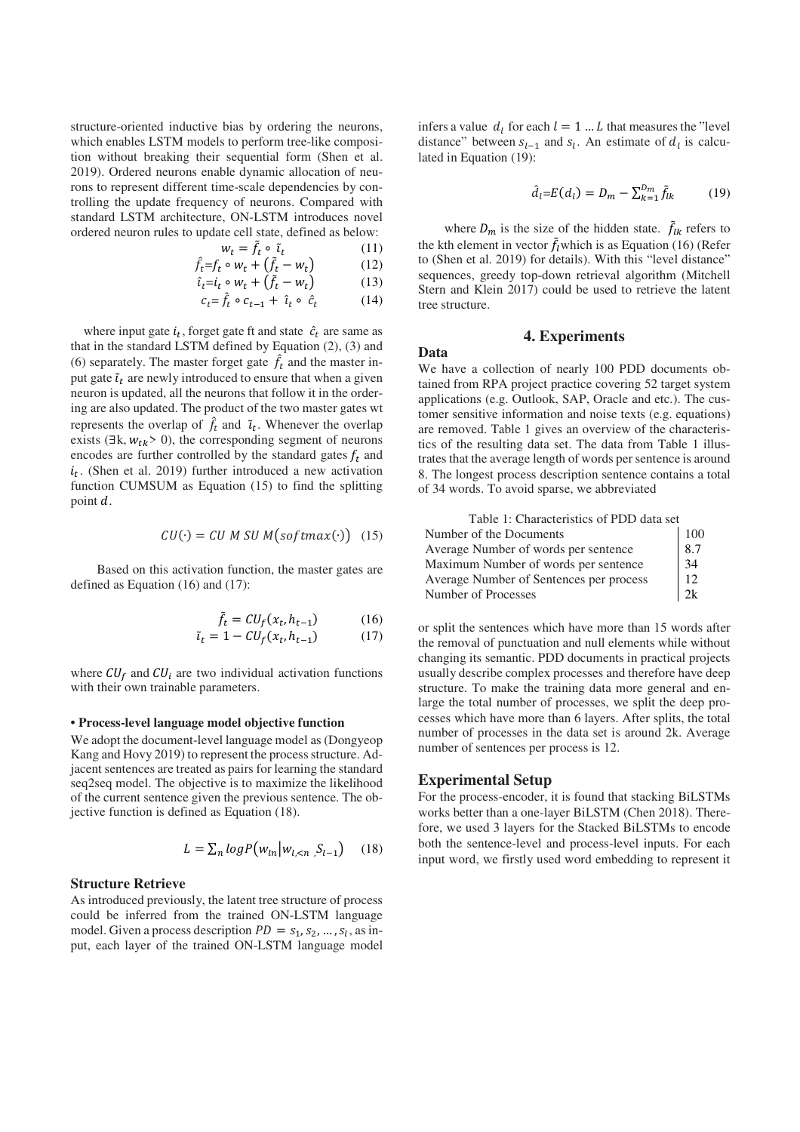structure-oriented inductive bias by ordering the neurons, which enables LSTM models to perform tree-like composition without breaking their sequential form (Shen et al. 2019). Ordered neurons enable dynamic allocation of neurons to represent different time-scale dependencies by controlling the update frequency of neurons. Compared with standard LSTM architecture, ON-LSTM introduces novel ordered neuron rules to update cell state, defined as below:

$$
w_t = \tilde{f}_t \circ \tilde{u}_t \tag{11}
$$

$$
\hat{f}_t = f_t \circ w_t + (\tilde{f}_t - w_t) \tag{12}
$$

$$
\hat{\iota}_t = \dot{\iota}_t \circ w_t + (\tilde{f}_t - w_t) \tag{13}
$$

$$
c_t = \hat{f}_t \circ c_{t-1} + \hat{i}_t \circ \hat{c}_t \tag{14}
$$

where input gate  $i_t$ , forget gate ft and state  $\hat{c}_t$  are same as that in the standard LSTM defined by Equation (2), (3) and (6) separately. The master forget gate  $\hat{f}_t$  and the master input gate  $\tilde{\iota}_t$  are newly introduced to ensure that when a given neuron is updated, all the neurons that follow it in the ordering are also updated. The product of the two master gates wt represents the overlap of  $\hat{f}_t$  and  $\tilde{i}_t$ . Whenever the overlap exists ( $\exists k, w_{tk} > 0$ ), the corresponding segment of neurons encodes are further controlled by the standard gates  $f_t$  and  $i_t$ . (Shen et al. 2019) further introduced a new activation function CUMSUM as Equation (15) to find the splitting point  $d$ .

$$
CU(\cdot) = CU \, M \, SU \, M \big( \text{softmax}(\cdot) \big) \quad (15)
$$

Based on this activation function, the master gates are defined as Equation (16) and (17):

$$
\tilde{t}_t = CU_f(x_t, h_{t-1})
$$
\n(16)\n  
\n
$$
\tilde{t}_t = 1 - CU_f(x_t, h_{t-1})
$$
\n(17)

where  $CU_f$  and  $CU_i$  are two individual activation functions with their own trainable parameters.

#### **• Process-level language model objective function**

We adopt the document-level language model as (Dongyeop Kang and Hovy 2019) to represent the process structure. Adjacent sentences are treated as pairs for learning the standard seq2seq model. The objective is to maximize the likelihood of the current sentence given the previous sentence. The objective function is defined as Equation (18).

$$
L = \sum_{n} log P(w_{ln}|w_{l,\leq n}, S_{l-1}) \quad (18)
$$

## **Structure Retrieve**

As introduced previously, the latent tree structure of process could be inferred from the trained ON-LSTM language model. Given a process description  $PD = s_1, s_2, ..., s_l$ , as input, each layer of the trained ON-LSTM language model

infers a value  $d_l$  for each  $l = 1 ... L$  that measures the "level" distance" between  $s_{l-1}$  and  $s_l$ . An estimate of  $d_l$  is calculated in Equation (19):

$$
\hat{d}_l = E(d_l) = D_m - \sum_{k=1}^{D_m} \tilde{f}_{lk}
$$
 (19)

where  $D_m$  is the size of the hidden state.  $\tilde{f}_{lk}$  refers to the kth element in vector  $\tilde{f}_l$  which is as Equation (16) (Refer to (Shen et al. 2019) for details). With this "level distance" sequences, greedy top-down retrieval algorithm (Mitchell Stern and Klein 2017) could be used to retrieve the latent tree structure.

## **4. Experiments**

**Data**

We have a collection of nearly 100 PDD documents obtained from RPA project practice covering 52 target system applications (e.g. Outlook, SAP, Oracle and etc.). The customer sensitive information and noise texts (e.g. equations) are removed. Table 1 gives an overview of the characteristics of the resulting data set. The data from Table 1 illustrates that the average length of words per sentence is around 8. The longest process description sentence contains a total of 34 words. To avoid sparse, we abbreviated

| Table 1: Characteristics of PDD data set |                                           |
|------------------------------------------|-------------------------------------------|
| Number of the Documents                  | $\begin{array}{c} 100 \\ 8.7 \end{array}$ |
| Average Number of words per sentence     |                                           |
| Maximum Number of words per sentence     | 34                                        |
| Average Number of Sentences per process  | 12                                        |
| Number of Processes                      | 2k                                        |

or split the sentences which have more than 15 words after the removal of punctuation and null elements while without changing its semantic. PDD documents in practical projects usually describe complex processes and therefore have deep structure. To make the training data more general and enlarge the total number of processes, we split the deep processes which have more than 6 layers. After splits, the total number of processes in the data set is around 2k. Average number of sentences per process is 12.

## **Experimental Setup**

For the process-encoder, it is found that stacking BiLSTMs works better than a one-layer BiLSTM (Chen 2018). Therefore, we used 3 layers for the Stacked BiLSTMs to encode both the sentence-level and process-level inputs. For each input word, we firstly used word embedding to represent it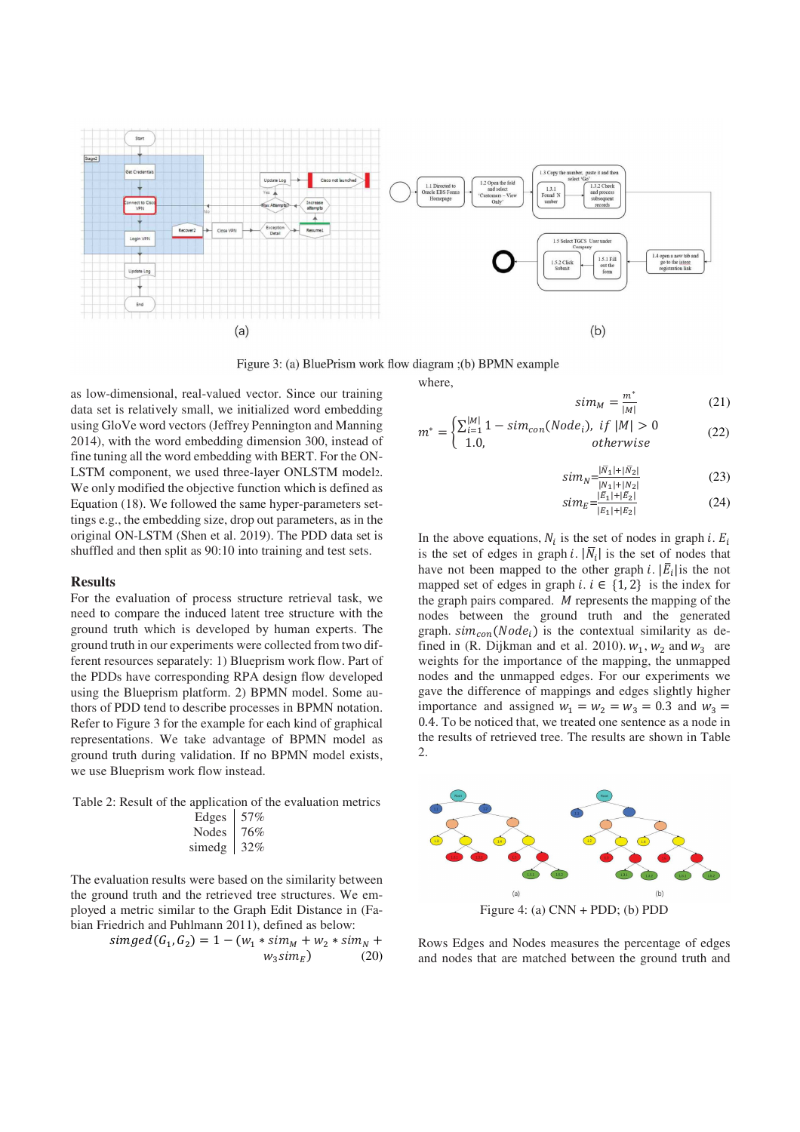

Figure 3: (a) BluePrism work flow diagram ; (b) BPMN example

as low-dimensional, real-valued vector. Since our training data set is relatively small, we initialized word embedding using GloVe word vectors (Jeffrey Pennington and Manning 2014), with the word embedding dimension 300, instead of fine tuning all the word embedding with BERT. For the ON-LSTM component, we used three-layer ONLSTM model2. We only modified the objective function which is defined as Equation (18). We followed the same hyper-parameters settings e.g., the embedding size, drop out parameters, as in the original ON-LSTM (Shen et al. 2019). The PDD data set is shuffled and then split as 90:10 into training and test sets.

## **Results**

For the evaluation of process structure retrieval task, we need to compare the induced latent tree structure with the ground truth which is developed by human experts. The ground truth in our experiments were collected from two different resources separately: 1) Blueprism work flow. Part of the PDDs have corresponding RPA design flow developed using the Blueprism platform. 2) BPMN model. Some authors of PDD tend to describe processes in BPMN notation. Refer to Figure 3 for the example for each kind of graphical representations. We take advantage of BPMN model as ground truth during validation. If no BPMN model exists, we use Blueprism work flow instead.

Table 2: Result of the application of the evaluation metrics Edges 57% Nodes 76% simedg 32%

The evaluation results were based on the similarity between the ground truth and the retrieved tree structures. We employed a metric similar to the Graph Edit Distance in (Fabian Friedrich and Puhlmann 2011), defined as below:

$$
simged(G_1, G_2) = 1 - (w_1 * sim_M + w_2 * sim_N + w_3 * sim_E) \tag{20}
$$

where,

$$
\sin m_M = \frac{m^*}{|M|} \tag{21}
$$
\n
$$
\left(\nabla^{|M|} 1 - \sin \left(\text{Node}\right) \text{ if } |M| > 0\right)
$$

$$
m^* = \begin{cases} \sum_{i=1}^{|M|} 1 - sim_{con}(Node_i), & if \ |M| > 0\\ 1.0, & otherwise \end{cases}
$$
 (22)

$$
sim_N = \frac{|N_1| + |N_2|}{|N_1| + |N_2|}
$$
\n
$$
sim_N = \frac{|E_1| + |E_2|}{|N_1| + |E_2|}
$$
\n(23)

$$
sim_{E} = \frac{|E_{1}| + |E_{2}|}{|E_{1}| + |E_{2}|}
$$
 (24)

In the above equations,  $N_i$  is the set of nodes in graph *i*.  $E_i$ is the set of edges in graph i.  $|\overline{N}_i|$  is the set of nodes that have not been mapped to the other graph *i*.  $|\overline{E}_i|$  is the not mapped set of edges in graph *i*.  $i \in \{1, 2\}$  is the index for the graph pairs compared.  $M$  represents the mapping of the nodes between the ground truth and the generated graph.  $sim_{con}(Node_i)$  is the contextual similarity as defined in (R. Dijkman and et al. 2010).  $w_1$ ,  $w_2$  and  $w_3$  are weights for the importance of the mapping, the unmapped nodes and the unmapped edges. For our experiments we gave the difference of mappings and edges slightly higher importance and assigned  $w_1 = w_2 = w_3 = 0.3$  and  $w_3 =$ 0.4. To be noticed that, we treated one sentence as a node in the results of retrieved tree. The results are shown in Table  $\mathcal{L}$ 



Rows Edges and Nodes measures the percentage of edges and nodes that are matched between the ground truth and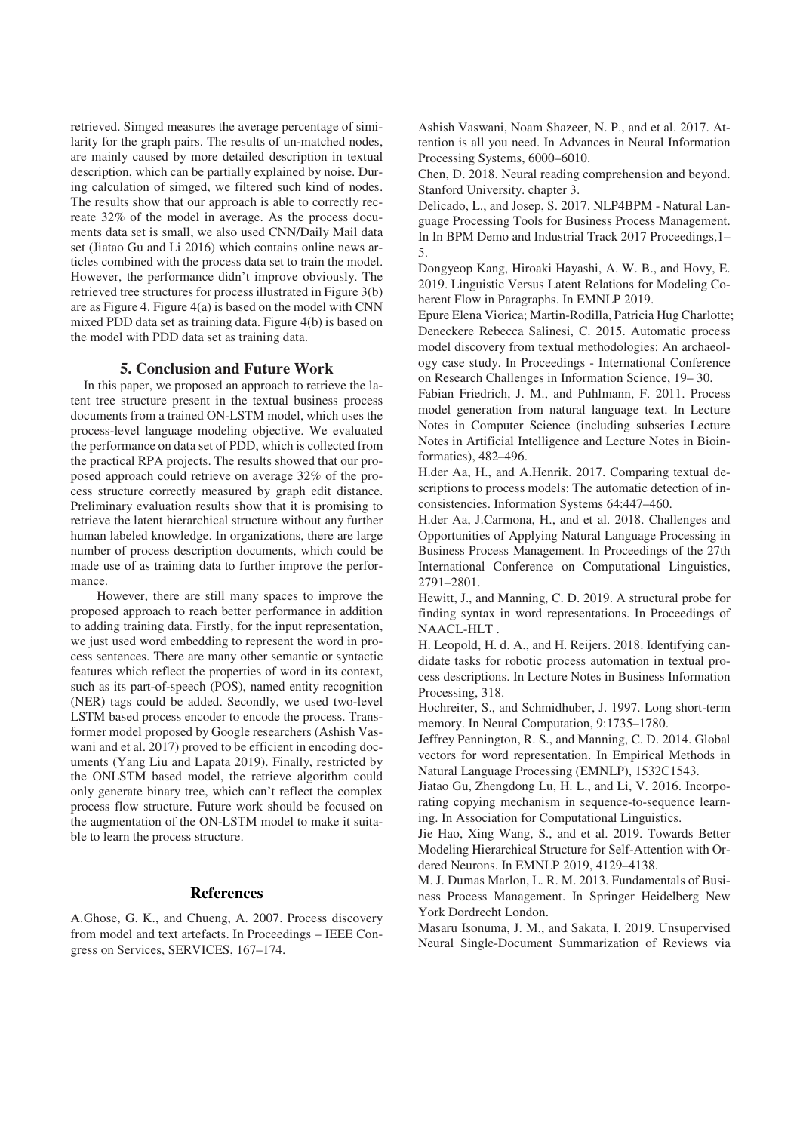retrieved. Simged measures the average percentage of similarity for the graph pairs. The results of un-matched nodes, are mainly caused by more detailed description in textual description, which can be partially explained by noise. During calculation of simged, we filtered such kind of nodes. The results show that our approach is able to correctly recreate 32% of the model in average. As the process documents data set is small, we also used CNN/Daily Mail data set (Jiatao Gu and Li 2016) which contains online news articles combined with the process data set to train the model. However, the performance didn't improve obviously. The retrieved tree structures for process illustrated in Figure 3(b) are as Figure 4. Figure 4(a) is based on the model with CNN mixed PDD data set as training data. Figure 4(b) is based on the model with PDD data set as training data.

## **5. Conclusion and Future Work**

In this paper, we proposed an approach to retrieve the latent tree structure present in the textual business process documents from a trained ON-LSTM model, which uses the process-level language modeling objective. We evaluated the performance on data set of PDD, which is collected from the practical RPA projects. The results showed that our proposed approach could retrieve on average 32% of the process structure correctly measured by graph edit distance. Preliminary evaluation results show that it is promising to retrieve the latent hierarchical structure without any further human labeled knowledge. In organizations, there are large number of process description documents, which could be made use of as training data to further improve the performance.

However, there are still many spaces to improve the proposed approach to reach better performance in addition to adding training data. Firstly, for the input representation, we just used word embedding to represent the word in process sentences. There are many other semantic or syntactic features which reflect the properties of word in its context, such as its part-of-speech (POS), named entity recognition (NER) tags could be added. Secondly, we used two-level LSTM based process encoder to encode the process. Transformer model proposed by Google researchers (Ashish Vaswani and et al. 2017) proved to be efficient in encoding documents (Yang Liu and Lapata 2019). Finally, restricted by the ONLSTM based model, the retrieve algorithm could only generate binary tree, which can't reflect the complex process flow structure. Future work should be focused on the augmentation of the ON-LSTM model to make it suitable to learn the process structure.

## **References**

A.Ghose, G. K., and Chueng, A. 2007. Process discovery from model and text artefacts. In Proceedings – IEEE Congress on Services, SERVICES, 167–174.

Ashish Vaswani, Noam Shazeer, N. P., and et al. 2017. Attention is all you need. In Advances in Neural Information Processing Systems, 6000–6010.

Chen, D. 2018. Neural reading comprehension and beyond. Stanford University. chapter 3.

Delicado, L., and Josep, S. 2017. NLP4BPM - Natural Language Processing Tools for Business Process Management. In In BPM Demo and Industrial Track 2017 Proceedings,1– 5.

Dongyeop Kang, Hiroaki Hayashi, A. W. B., and Hovy, E. 2019. Linguistic Versus Latent Relations for Modeling Coherent Flow in Paragraphs. In EMNLP 2019.

Epure Elena Viorica; Martin-Rodilla, Patricia Hug Charlotte; Deneckere Rebecca Salinesi, C. 2015. Automatic process model discovery from textual methodologies: An archaeology case study. In Proceedings - International Conference on Research Challenges in Information Science, 19– 30.

Fabian Friedrich, J. M., and Puhlmann, F. 2011. Process model generation from natural language text. In Lecture Notes in Computer Science (including subseries Lecture Notes in Artificial Intelligence and Lecture Notes in Bioinformatics), 482–496.

H.der Aa, H., and A.Henrik. 2017. Comparing textual descriptions to process models: The automatic detection of inconsistencies. Information Systems 64:447–460.

H.der Aa, J.Carmona, H., and et al. 2018. Challenges and Opportunities of Applying Natural Language Processing in Business Process Management. In Proceedings of the 27th International Conference on Computational Linguistics, 2791–2801.

Hewitt, J., and Manning, C. D. 2019. A structural probe for finding syntax in word representations. In Proceedings of NAACL-HLT .

H. Leopold, H. d. A., and H. Reijers. 2018. Identifying candidate tasks for robotic process automation in textual process descriptions. In Lecture Notes in Business Information Processing, 318.

Hochreiter, S., and Schmidhuber, J. 1997. Long short-term memory. In Neural Computation, 9:1735–1780.

Jeffrey Pennington, R. S., and Manning, C. D. 2014. Global vectors for word representation. In Empirical Methods in Natural Language Processing (EMNLP), 1532C1543.

Jiatao Gu, Zhengdong Lu, H. L., and Li, V. 2016. Incorporating copying mechanism in sequence-to-sequence learning. In Association for Computational Linguistics.

Jie Hao, Xing Wang, S., and et al. 2019. Towards Better Modeling Hierarchical Structure for Self-Attention with Ordered Neurons. In EMNLP 2019, 4129–4138.

M. J. Dumas Marlon, L. R. M. 2013. Fundamentals of Business Process Management. In Springer Heidelberg New York Dordrecht London.

Masaru Isonuma, J. M., and Sakata, I. 2019. Unsupervised Neural Single-Document Summarization of Reviews via